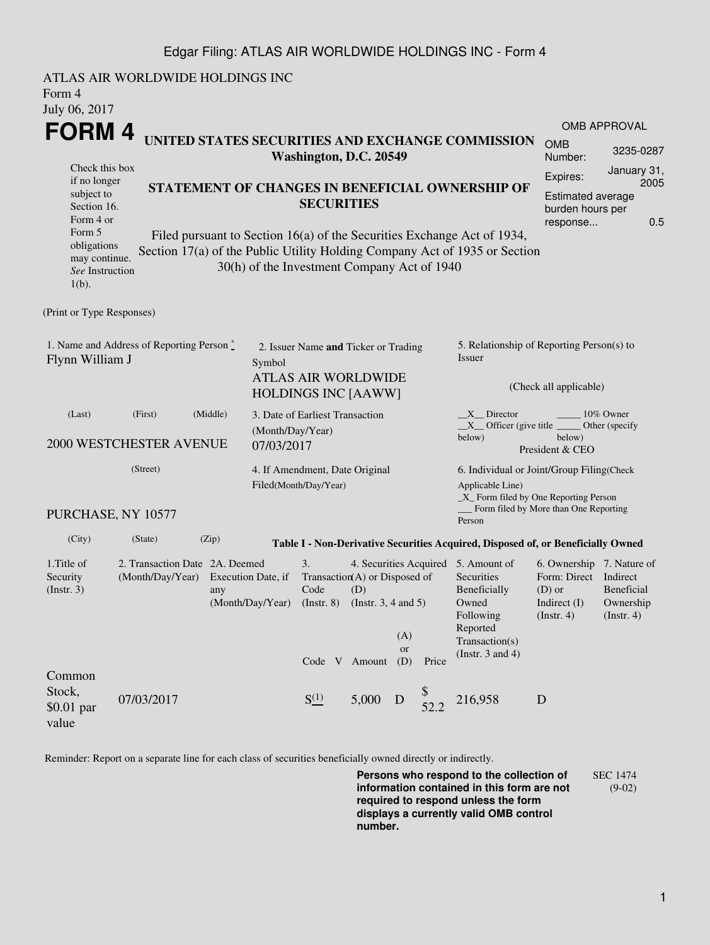## Edgar Filing: ATLAS AIR WORLDWIDE HOLDINGS INC - Form 4

| Form 4<br>July 06, 2017                                                                           | ATLAS AIR WORLDWIDE HOLDINGS INC                                                                    |       |                                             |                                                                                                                                      |               |                  |             |                                                                                                                                                       |                                                                                      |                                                           |  |  |
|---------------------------------------------------------------------------------------------------|-----------------------------------------------------------------------------------------------------|-------|---------------------------------------------|--------------------------------------------------------------------------------------------------------------------------------------|---------------|------------------|-------------|-------------------------------------------------------------------------------------------------------------------------------------------------------|--------------------------------------------------------------------------------------|-----------------------------------------------------------|--|--|
|                                                                                                   |                                                                                                     |       |                                             |                                                                                                                                      |               |                  |             |                                                                                                                                                       |                                                                                      | <b>OMB APPROVAL</b>                                       |  |  |
| FORM 4<br>UNITED STATES SECURITIES AND EXCHANGE COMMISSION<br>Washington, D.C. 20549              |                                                                                                     |       |                                             |                                                                                                                                      |               |                  |             |                                                                                                                                                       | <b>OMB</b><br>Number:                                                                | 3235-0287                                                 |  |  |
| Check this box<br>if no longer<br>subject to<br>Section 16.                                       |                                                                                                     |       |                                             | STATEMENT OF CHANGES IN BENEFICIAL OWNERSHIP OF<br><b>SECURITIES</b>                                                                 |               |                  |             |                                                                                                                                                       | January 31,<br>Expires:<br>2005<br><b>Estimated average</b><br>burden hours per      |                                                           |  |  |
| Form 4 or<br>Form 5<br>obligations<br>may continue.<br>See Instruction<br>$1(b)$ .                |                                                                                                     |       | 30(h) of the Investment Company Act of 1940 |                                                                                                                                      |               |                  |             | Filed pursuant to Section 16(a) of the Securities Exchange Act of 1934,<br>Section 17(a) of the Public Utility Holding Company Act of 1935 or Section | response                                                                             | 0.5                                                       |  |  |
| (Print or Type Responses)                                                                         |                                                                                                     |       |                                             |                                                                                                                                      |               |                  |             |                                                                                                                                                       |                                                                                      |                                                           |  |  |
| 1. Name and Address of Reporting Person $\stackrel{*}{\mathbb{L}}$<br>Flynn William J<br>Symbol   |                                                                                                     |       |                                             | 2. Issuer Name and Ticker or Trading<br><b>ATLAS AIR WORLDWIDE</b><br><b>HOLDINGS INC [AAWW]</b>                                     |               |                  |             | 5. Relationship of Reporting Person(s) to<br>Issuer<br>(Check all applicable)                                                                         |                                                                                      |                                                           |  |  |
| (Middle)<br>(Last)<br>(First)<br>(Month/Day/Year)<br><b>2000 WESTCHESTER AVENUE</b><br>07/03/2017 |                                                                                                     |       |                                             | 3. Date of Earliest Transaction                                                                                                      |               |                  |             | X Director<br>10% Owner<br>$X$ Officer (give title $\overline{\phantom{a}}$<br>Other (specify<br>below)<br>below)<br>President & CEO                  |                                                                                      |                                                           |  |  |
| (Street)<br>PURCHASE, NY 10577                                                                    |                                                                                                     |       |                                             | 4. If Amendment, Date Original<br>Filed(Month/Day/Year)                                                                              |               |                  |             | 6. Individual or Joint/Group Filing(Check<br>Applicable Line)<br>_X_ Form filed by One Reporting Person<br>Form filed by More than One Reporting      |                                                                                      |                                                           |  |  |
|                                                                                                   |                                                                                                     |       |                                             |                                                                                                                                      |               |                  |             | Person                                                                                                                                                |                                                                                      |                                                           |  |  |
| (City)                                                                                            | (State)                                                                                             | (Zip) |                                             |                                                                                                                                      |               |                  |             | Table I - Non-Derivative Securities Acquired, Disposed of, or Beneficially Owned                                                                      |                                                                                      |                                                           |  |  |
| 1. Title of<br>Security<br>$($ Instr. 3 $)$                                                       | 2. Transaction Date 2A. Deemed<br>(Month/Day/Year)<br>Execution Date, if<br>any<br>(Month/Day/Year) |       |                                             | 3.<br>4. Securities Acquired 5. Amount of<br>Transaction(A) or Disposed of<br>Code<br>(D)<br>(Insert. 3, 4 and 5)<br>$($ Instr. $8)$ |               |                  |             | Securities<br>Beneficially<br>Owned<br>Following<br>Reported                                                                                          | 6. Ownership 7. Nature of<br>Form: Direct<br>$(D)$ or<br>Indirect (I)<br>(Insert. 4) | Indirect<br><b>Beneficial</b><br>Ownership<br>(Insert. 4) |  |  |
| Common                                                                                            |                                                                                                     |       |                                             |                                                                                                                                      | Code V Amount | (A)<br>or<br>(D) | Price       | Transaction(s)<br>(Instr. $3$ and $4$ )                                                                                                               |                                                                                      |                                                           |  |  |
| Stock,<br>$$0.01$ par<br>value                                                                    | 07/03/2017                                                                                          |       |                                             | $S^{(1)}_{-}$                                                                                                                        | 5,000         | D                | $$$<br>52.2 | 216,958                                                                                                                                               | D                                                                                    |                                                           |  |  |

Reminder: Report on a separate line for each class of securities beneficially owned directly or indirectly.

**Persons who respond to the collection of information contained in this form are not required to respond unless the form displays a currently valid OMB control number.** SEC 1474 (9-02)